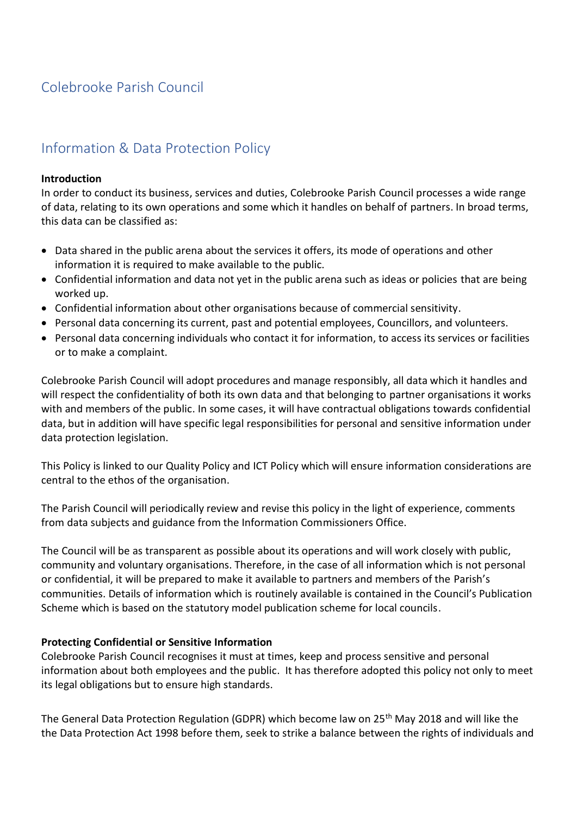# Colebrooke Parish Council

# Information & Data Protection Policy

#### **Introduction**

In order to conduct its business, services and duties, Colebrooke Parish Council processes a wide range of data, relating to its own operations and some which it handles on behalf of partners. In broad terms, this data can be classified as:

- Data shared in the public arena about the services it offers, its mode of operations and other information it is required to make available to the public.
- Confidential information and data not yet in the public arena such as ideas or policies that are being worked up.
- Confidential information about other organisations because of commercial sensitivity.
- Personal data concerning its current, past and potential employees, Councillors, and volunteers.
- Personal data concerning individuals who contact it for information, to access its services or facilities or to make a complaint.

Colebrooke Parish Council will adopt procedures and manage responsibly, all data which it handles and will respect the confidentiality of both its own data and that belonging to partner organisations it works with and members of the public. In some cases, it will have contractual obligations towards confidential data, but in addition will have specific legal responsibilities for personal and sensitive information under data protection legislation.

This Policy is linked to our Quality Policy and ICT Policy which will ensure information considerations are central to the ethos of the organisation.

The Parish Council will periodically review and revise this policy in the light of experience, comments from data subjects and guidance from the Information Commissioners Office.

The Council will be as transparent as possible about its operations and will work closely with public, community and voluntary organisations. Therefore, in the case of all information which is not personal or confidential, it will be prepared to make it available to partners and members of the Parish's communities. Details of information which is routinely available is contained in the Council's Publication Scheme which is based on the statutory model publication scheme for local councils.

#### **Protecting Confidential or Sensitive Information**

Colebrooke Parish Council recognises it must at times, keep and process sensitive and personal information about both employees and the public. It has therefore adopted this policy not only to meet its legal obligations but to ensure high standards.

The General Data Protection Regulation (GDPR) which become law on 25<sup>th</sup> May 2018 and will like the the Data Protection Act 1998 before them, seek to strike a balance between the rights of individuals and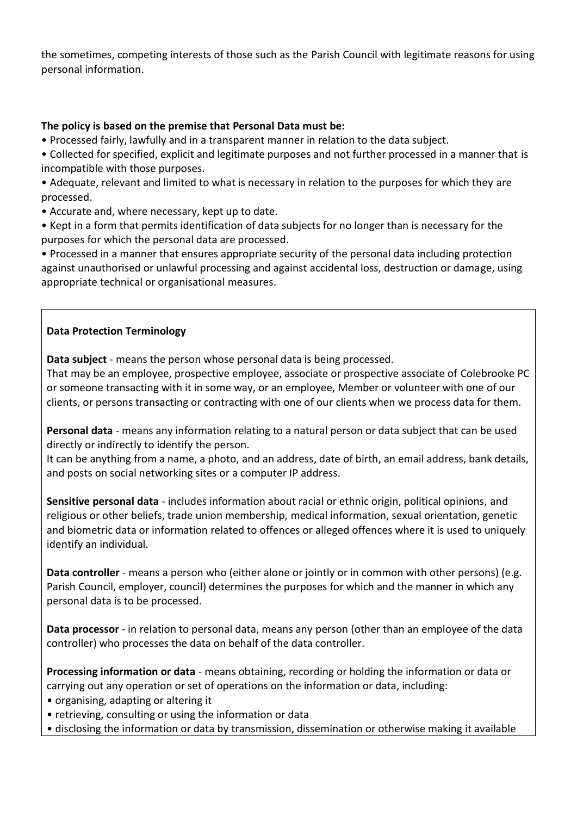the sometimes, competing interests of those such as the Parish Council with legitimate reasons for using personal information.

## **The policy is based on the premise that Personal Data must be:**

• Processed fairly, lawfully and in a transparent manner in relation to the data subject.

• Collected for specified, explicit and legitimate purposes and not further processed in a manner that is incompatible with those purposes.

• Adequate, relevant and limited to what is necessary in relation to the purposes for which they are processed.

• Accurate and, where necessary, kept up to date.

• Kept in a form that permits identification of data subjects for no longer than is necessary for the purposes for which the personal data are processed.

• Processed in a manner that ensures appropriate security of the personal data including protection against unauthorised or unlawful processing and against accidental loss, destruction or damage, using appropriate technical or organisational measures.

## **Data Protection Terminology**

**Data subject** - means the person whose personal data is being processed.

That may be an employee, prospective employee, associate or prospective associate of Colebrooke PC or someone transacting with it in some way, or an employee, Member or volunteer with one of our clients, or persons transacting or contracting with one of our clients when we process data for them.

**Personal data** - means any information relating to a natural person or data subject that can be used directly or indirectly to identify the person.

It can be anything from a name, a photo, and an address, date of birth, an email address, bank details, and posts on social networking sites or a computer IP address.

**Sensitive personal data** - includes information about racial or ethnic origin, political opinions, and religious or other beliefs, trade union membership, medical information, sexual orientation, genetic and biometric data or information related to offences or alleged offences where it is used to uniquely identify an individual.

**Data controller** - means a person who (either alone or jointly or in common with other persons) (e.g. Parish Council, employer, council) determines the purposes for which and the manner in which any personal data is to be processed.

**Data processor** - in relation to personal data, means any person (other than an employee of the data controller) who processes the data on behalf of the data controller.

**Processing information or data** - means obtaining, recording or holding the information or data or carrying out any operation or set of operations on the information or data, including:

• organising, adapting or altering it

- retrieving, consulting or using the information or data
- disclosing the information or data by transmission, dissemination or otherwise making it available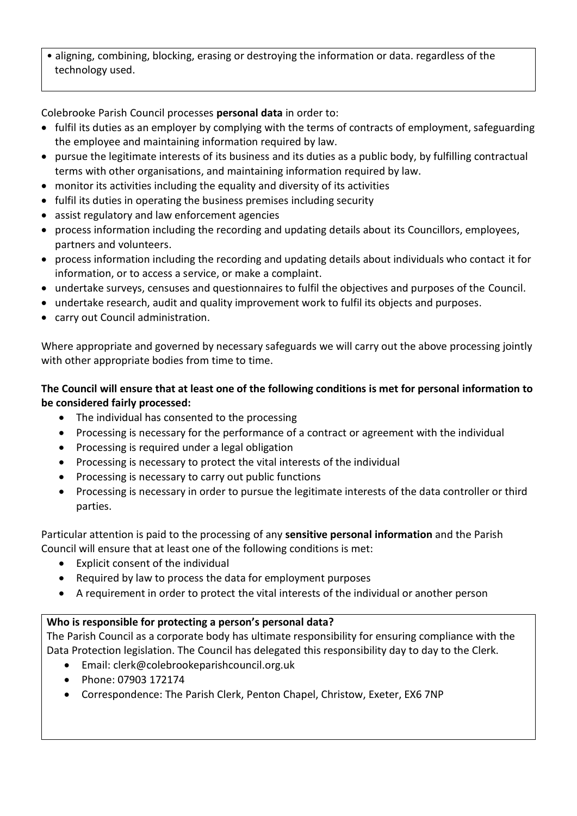• aligning, combining, blocking, erasing or destroying the information or data. regardless of the technology used.

Colebrooke Parish Council processes **personal data** in order to:

- fulfil its duties as an employer by complying with the terms of contracts of employment, safeguarding the employee and maintaining information required by law.
- pursue the legitimate interests of its business and its duties as a public body, by fulfilling contractual terms with other organisations, and maintaining information required by law.
- monitor its activities including the equality and diversity of its activities
- fulfil its duties in operating the business premises including security
- assist regulatory and law enforcement agencies
- process information including the recording and updating details about its Councillors, employees, partners and volunteers.
- process information including the recording and updating details about individuals who contact it for information, or to access a service, or make a complaint.
- undertake surveys, censuses and questionnaires to fulfil the objectives and purposes of the Council.
- undertake research, audit and quality improvement work to fulfil its objects and purposes.
- carry out Council administration.

Where appropriate and governed by necessary safeguards we will carry out the above processing jointly with other appropriate bodies from time to time.

# **The Council will ensure that at least one of the following conditions is met for personal information to be considered fairly processed:**

- The individual has consented to the processing
- Processing is necessary for the performance of a contract or agreement with the individual
- Processing is required under a legal obligation
- Processing is necessary to protect the vital interests of the individual
- Processing is necessary to carry out public functions
- Processing is necessary in order to pursue the legitimate interests of the data controller or third parties.

Particular attention is paid to the processing of any **sensitive personal information** and the Parish Council will ensure that at least one of the following conditions is met:

- Explicit consent of the individual
- Required by law to process the data for employment purposes
- A requirement in order to protect the vital interests of the individual or another person

# **Who is responsible for protecting a person's personal data?**

The Parish Council as a corporate body has ultimate responsibility for ensuring compliance with the Data Protection legislation. The Council has delegated this responsibility day to day to the Clerk.

- Email: clerk@colebrookeparishcouncil.org.uk
- Phone: 07903 172174
- Correspondence: The Parish Clerk, Penton Chapel, Christow, Exeter, EX6 7NP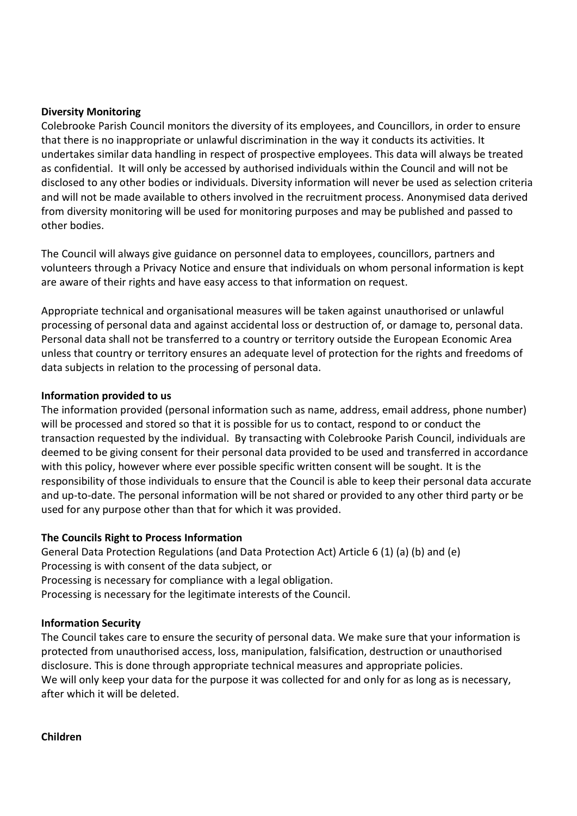#### **Diversity Monitoring**

Colebrooke Parish Council monitors the diversity of its employees, and Councillors, in order to ensure that there is no inappropriate or unlawful discrimination in the way it conducts its activities. It undertakes similar data handling in respect of prospective employees. This data will always be treated as confidential. It will only be accessed by authorised individuals within the Council and will not be disclosed to any other bodies or individuals. Diversity information will never be used as selection criteria and will not be made available to others involved in the recruitment process. Anonymised data derived from diversity monitoring will be used for monitoring purposes and may be published and passed to other bodies.

The Council will always give guidance on personnel data to employees, councillors, partners and volunteers through a Privacy Notice and ensure that individuals on whom personal information is kept are aware of their rights and have easy access to that information on request.

Appropriate technical and organisational measures will be taken against unauthorised or unlawful processing of personal data and against accidental loss or destruction of, or damage to, personal data. Personal data shall not be transferred to a country or territory outside the European Economic Area unless that country or territory ensures an adequate level of protection for the rights and freedoms of data subjects in relation to the processing of personal data.

#### **Information provided to us**

The information provided (personal information such as name, address, email address, phone number) will be processed and stored so that it is possible for us to contact, respond to or conduct the transaction requested by the individual. By transacting with Colebrooke Parish Council, individuals are deemed to be giving consent for their personal data provided to be used and transferred in accordance with this policy, however where ever possible specific written consent will be sought. It is the responsibility of those individuals to ensure that the Council is able to keep their personal data accurate and up-to-date. The personal information will be not shared or provided to any other third party or be used for any purpose other than that for which it was provided.

#### **The Councils Right to Process Information**

General Data Protection Regulations (and Data Protection Act) Article 6 (1) (a) (b) and (e) Processing is with consent of the data subject, or Processing is necessary for compliance with a legal obligation. Processing is necessary for the legitimate interests of the Council.

#### **Information Security**

The Council takes care to ensure the security of personal data. We make sure that your information is protected from unauthorised access, loss, manipulation, falsification, destruction or unauthorised disclosure. This is done through appropriate technical measures and appropriate policies. We will only keep your data for the purpose it was collected for and only for as long as is necessary, after which it will be deleted.

**Children**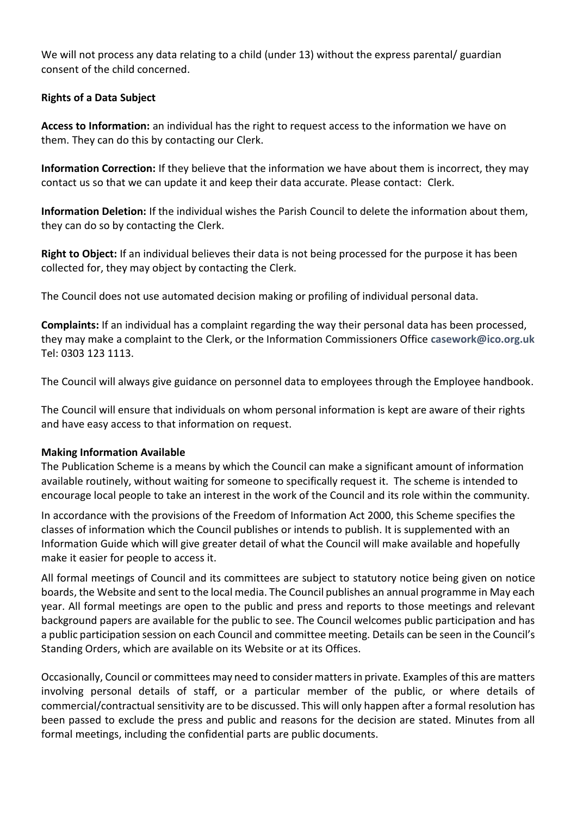We will not process any data relating to a child (under 13) without the express parental/ guardian consent of the child concerned.

## **Rights of a Data Subject**

**Access to Information:** an individual has the right to request access to the information we have on them. They can do this by contacting our Clerk.

**Information Correction:** If they believe that the information we have about them is incorrect, they may contact us so that we can update it and keep their data accurate. Please contact: Clerk.

**Information Deletion:** If the individual wishes the Parish Council to delete the information about them, they can do so by contacting the Clerk.

**Right to Object:** If an individual believes their data is not being processed for the purpose it has been collected for, they may object by contacting the Clerk.

The Council does not use automated decision making or profiling of individual personal data.

**Complaints:** If an individual has a complaint regarding the way their personal data has been processed, they may make a complaint to the Clerk, or the Information Commissioners Office **[casework@ico.org.uk](mailto:casework@ico.org.uk)** Tel: 0303 123 1113.

The Council will always give guidance on personnel data to employees through the Employee handbook.

The Council will ensure that individuals on whom personal information is kept are aware of their rights and have easy access to that information on request.

## **Making Information Available**

The Publication Scheme is a means by which the Council can make a significant amount of information available routinely, without waiting for someone to specifically request it. The scheme is intended to encourage local people to take an interest in the work of the Council and its role within the community.

In accordance with the provisions of the Freedom of Information Act 2000, this Scheme specifies the classes of information which the Council publishes or intends to publish. It is supplemented with an Information Guide which will give greater detail of what the Council will make available and hopefully make it easier for people to access it.

All formal meetings of Council and its committees are subject to statutory notice being given on notice boards, the Website and sent to the local media. The Council publishes an annual programme in May each year. All formal meetings are open to the public and press and reports to those meetings and relevant background papers are available for the public to see. The Council welcomes public participation and has a public participation session on each Council and committee meeting. Details can be seen in the Council's Standing Orders, which are available on its Website or at its Offices.

Occasionally, Council or committees may need to consider matters in private. Examples of this are matters involving personal details of staff, or a particular member of the public, or where details of commercial/contractual sensitivity are to be discussed. This will only happen after a formal resolution has been passed to exclude the press and public and reasons for the decision are stated. Minutes from all formal meetings, including the confidential parts are public documents.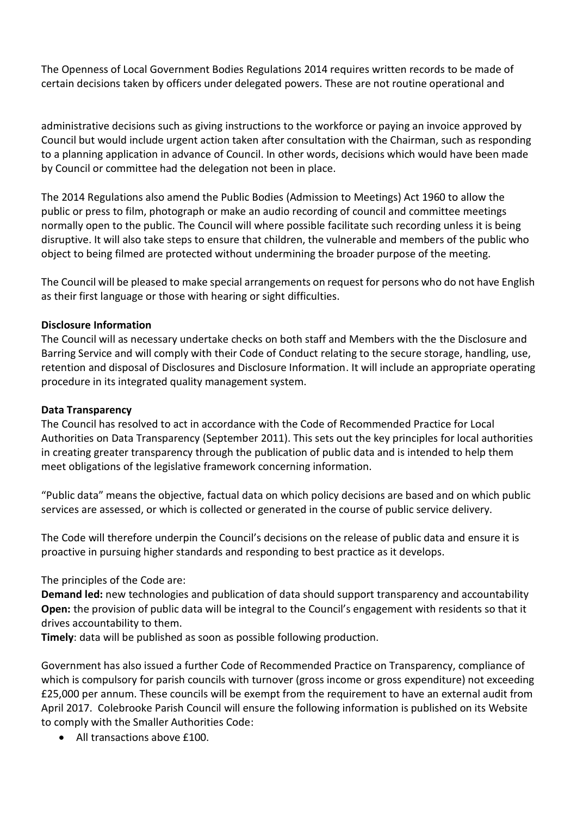The Openness of Local Government Bodies Regulations 2014 requires written records to be made of certain decisions taken by officers under delegated powers. These are not routine operational and

administrative decisions such as giving instructions to the workforce or paying an invoice approved by Council but would include urgent action taken after consultation with the Chairman, such as responding to a planning application in advance of Council. In other words, decisions which would have been made by Council or committee had the delegation not been in place.

The 2014 Regulations also amend the Public Bodies (Admission to Meetings) Act 1960 to allow the public or press to film, photograph or make an audio recording of council and committee meetings normally open to the public. The Council will where possible facilitate such recording unless it is being disruptive. It will also take steps to ensure that children, the vulnerable and members of the public who object to being filmed are protected without undermining the broader purpose of the meeting.

The Council will be pleased to make special arrangements on request for persons who do not have English as their first language or those with hearing or sight difficulties.

#### **Disclosure Information**

The Council will as necessary undertake checks on both staff and Members with the the Disclosure and Barring Service and will comply with their Code of Conduct relating to the secure storage, handling, use, retention and disposal of Disclosures and Disclosure Information. It will include an appropriate operating procedure in its integrated quality management system.

#### **Data Transparency**

The Council has resolved to act in accordance with the Code of Recommended Practice for Local Authorities on Data Transparency (September 2011). This sets out the key principles for local authorities in creating greater transparency through the publication of public data and is intended to help them meet obligations of the legislative framework concerning information.

"Public data" means the objective, factual data on which policy decisions are based and on which public services are assessed, or which is collected or generated in the course of public service delivery.

The Code will therefore underpin the Council's decisions on the release of public data and ensure it is proactive in pursuing higher standards and responding to best practice as it develops.

The principles of the Code are:

**Demand led:** new technologies and publication of data should support transparency and accountability **Open:** the provision of public data will be integral to the Council's engagement with residents so that it drives accountability to them.

**Timely**: data will be published as soon as possible following production.

Government has also issued a further Code of Recommended Practice on Transparency, compliance of which is compulsory for parish councils with turnover (gross income or gross expenditure) not exceeding £25,000 per annum. These councils will be exempt from the requirement to have an external audit from April 2017. Colebrooke Parish Council will ensure the following information is published on its Website to comply with the Smaller Authorities Code:

• All transactions above £100.